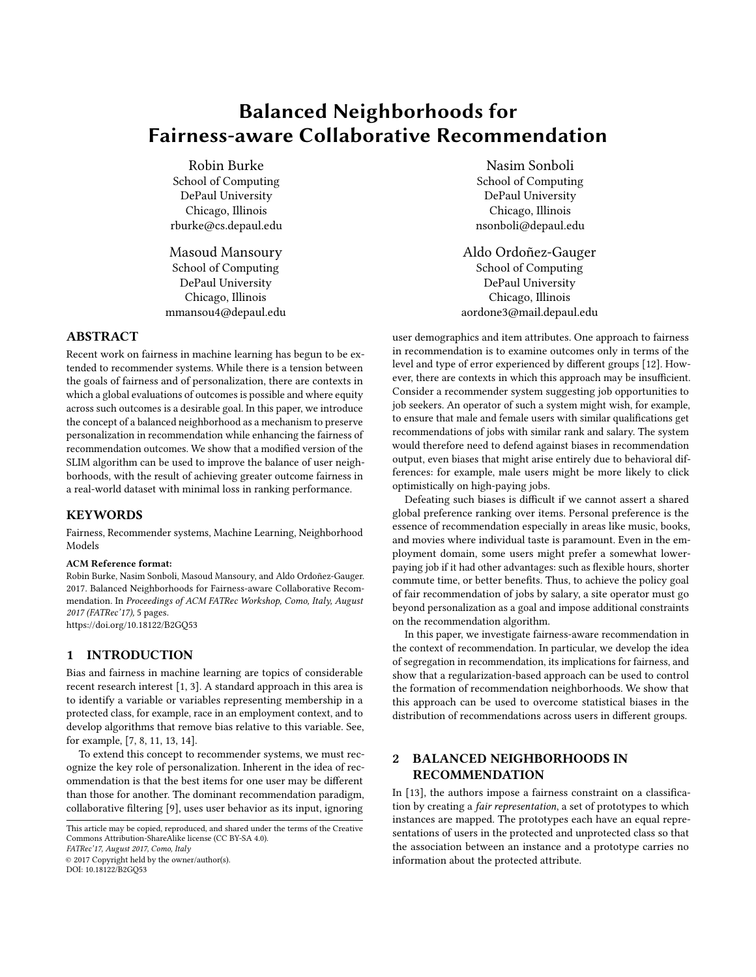# Balanced Neighborhoods for Fairness-aware Collaborative Recommendation

Robin Burke School of Computing DePaul University Chicago, Illinois rburke@cs.depaul.edu

Masoud Mansoury School of Computing DePaul University Chicago, Illinois mmansou4@depaul.edu

## ABSTRACT

Recent work on fairness in machine learning has begun to be extended to recommender systems. While there is a tension between the goals of fairness and of personalization, there are contexts in which a global evaluations of outcomes is possible and where equity across such outcomes is a desirable goal. In this paper, we introduce the concept of a balanced neighborhood as a mechanism to preserve personalization in recommendation while enhancing the fairness of recommendation outcomes. We show that a modified version of the SLIM algorithm can be used to improve the balance of user neighborhoods, with the result of achieving greater outcome fairness in a real-world dataset with minimal loss in ranking performance.

### **KEYWORDS**

Fairness, Recommender systems, Machine Learning, Neighborhood Models

#### ACM Reference format:

Robin Burke, Nasim Sonboli, Masoud Mansoury, and Aldo Ordoñez-Gauger. 2017. Balanced Neighborhoods for Fairness-aware Collaborative Recommendation. In Proceedings of ACM FATRec Workshop, Como, Italy, August 2017 (FATRec'17), [5](#page-4-0) pages. <https://doi.org/10.18122/B2GQ53>

## 1 INTRODUCTION

Bias and fairness in machine learning are topics of considerable recent research interest [\[1,](#page-4-1) [3\]](#page-4-2). A standard approach in this area is to identify a variable or variables representing membership in a protected class, for example, race in an employment context, and to develop algorithms that remove bias relative to this variable. See, for example, [\[7,](#page-4-3) [8,](#page-4-4) [11,](#page-4-5) [13,](#page-4-6) [14\]](#page-4-7).

To extend this concept to recommender systems, we must recognize the key role of personalization. Inherent in the idea of recommendation is that the best items for one user may be different than those for another. The dominant recommendation paradigm, collaborative filtering [\[9\]](#page-4-8), uses user behavior as its input, ignoring

This article may be copied, reproduced, and shared under the terms of the Creative Commons Attribution-ShareAlike license (CC BY-SA 4.0).

FATRec'17, August 2017, Como, Italy

© 2017 Copyright held by the owner/author(s).

DOI: 10.18122/B2GQ53

Nasim Sonboli School of Computing DePaul University Chicago, Illinois nsonboli@depaul.edu

Aldo Ordoñez-Gauger School of Computing DePaul University Chicago, Illinois aordone3@mail.depaul.edu

user demographics and item attributes. One approach to fairness in recommendation is to examine outcomes only in terms of the level and type of error experienced by different groups [\[12\]](#page-4-9). However, there are contexts in which this approach may be insufficient. Consider a recommender system suggesting job opportunities to job seekers. An operator of such a system might wish, for example, to ensure that male and female users with similar qualifications get recommendations of jobs with similar rank and salary. The system would therefore need to defend against biases in recommendation output, even biases that might arise entirely due to behavioral differences: for example, male users might be more likely to click optimistically on high-paying jobs.

Defeating such biases is difficult if we cannot assert a shared global preference ranking over items. Personal preference is the essence of recommendation especially in areas like music, books, and movies where individual taste is paramount. Even in the employment domain, some users might prefer a somewhat lowerpaying job if it had other advantages: such as flexible hours, shorter commute time, or better benefits. Thus, to achieve the policy goal of fair recommendation of jobs by salary, a site operator must go beyond personalization as a goal and impose additional constraints on the recommendation algorithm.

In this paper, we investigate fairness-aware recommendation in the context of recommendation. In particular, we develop the idea of segregation in recommendation, its implications for fairness, and show that a regularization-based approach can be used to control the formation of recommendation neighborhoods. We show that this approach can be used to overcome statistical biases in the distribution of recommendations across users in different groups.

## 2 BALANCED NEIGHBORHOODS IN RECOMMENDATION

In [\[13\]](#page-4-6), the authors impose a fairness constraint on a classification by creating a fair representation, a set of prototypes to which instances are mapped. The prototypes each have an equal representations of users in the protected and unprotected class so that the association between an instance and a prototype carries no information about the protected attribute.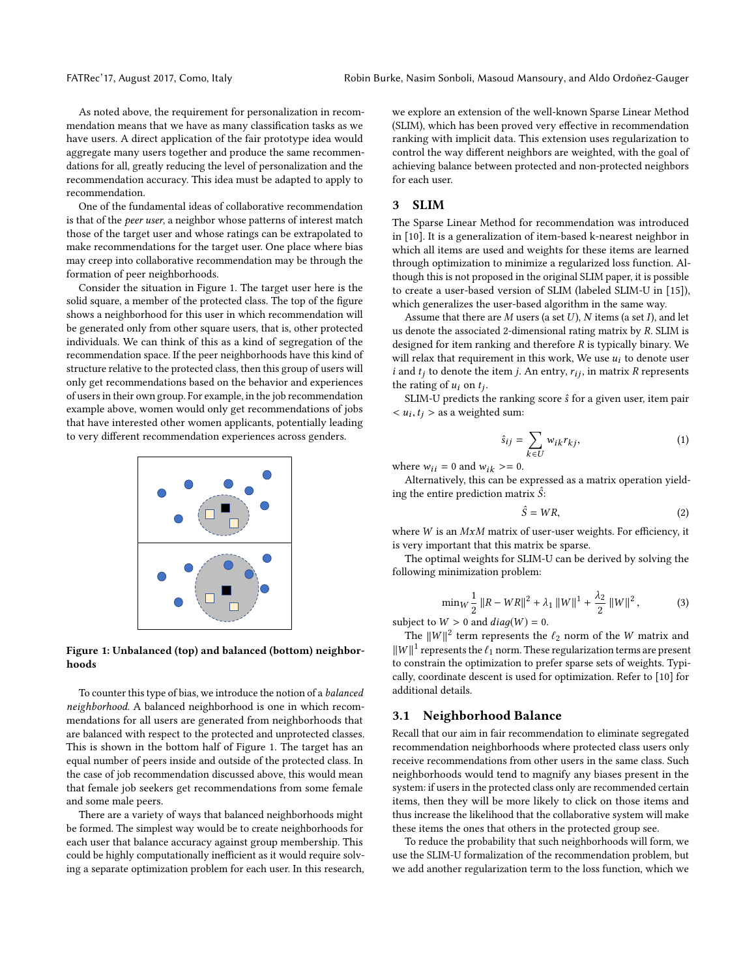As noted above, the requirement for personalization in recommendation means that we have as many classification tasks as we have users. A direct application of the fair prototype idea would aggregate many users together and produce the same recommendations for all, greatly reducing the level of personalization and the recommendation accuracy. This idea must be adapted to apply to recommendation.

One of the fundamental ideas of collaborative recommendation is that of the peer user, a neighbor whose patterns of interest match those of the target user and whose ratings can be extrapolated to make recommendations for the target user. One place where bias may creep into collaborative recommendation may be through the formation of peer neighborhoods.

Consider the situation in Figure [1.](#page-1-0) The target user here is the solid square, a member of the protected class. The top of the figure shows a neighborhood for this user in which recommendation will be generated only from other square users, that is, other protected individuals. We can think of this as a kind of segregation of the recommendation space. If the peer neighborhoods have this kind of structure relative to the protected class, then this group of users will only get recommendations based on the behavior and experiences of users in their own group. For example, in the job recommendation example above, women would only get recommendations of jobs that have interested other women applicants, potentially leading to very different recommendation experiences across genders.

<span id="page-1-0"></span>

Figure 1: Unbalanced (top) and balanced (bottom) neighborhoods

To counter this type of bias, we introduce the notion of a balanced neighborhood. A balanced neighborhood is one in which recommendations for all users are generated from neighborhoods that are balanced with respect to the protected and unprotected classes. This is shown in the bottom half of Figure [1.](#page-1-0) The target has an equal number of peers inside and outside of the protected class. In the case of job recommendation discussed above, this would mean that female job seekers get recommendations from some female and some male peers.

There are a variety of ways that balanced neighborhoods might be formed. The simplest way would be to create neighborhoods for each user that balance accuracy against group membership. This could be highly computationally inefficient as it would require solving a separate optimization problem for each user. In this research, we explore an extension of the well-known Sparse Linear Method (SLIM), which has been proved very effective in recommendation ranking with implicit data. This extension uses regularization to control the way different neighbors are weighted, with the goal of achieving balance between protected and non-protected neighbors for each user.

#### 3 SLIM

The Sparse Linear Method for recommendation was introduced in [\[10\]](#page-4-10). It is a generalization of item-based k-nearest neighbor in which all items are used and weights for these items are learned through optimization to minimize a regularized loss function. Although this is not proposed in the original SLIM paper, it is possible to create a user-based version of SLIM (labeled SLIM-U in [\[15\]](#page-4-11)), which generalizes the user-based algorithm in the same way.

Assume that there are  $M$  users (a set  $U$ ),  $N$  items (a set  $I$ ), and let us denote the associated 2-dimensional rating matrix by R. SLIM is designed for item ranking and therefore  $R$  is typically binary. We will relax that requirement in this work, We use  $u_i$  to denote user i and  $t_i$  to denote the item j. An entry,  $r_{ij}$ , in matrix R represents the rating of  $u_i$  on  $t_j$ .<br>SIM-II predicts the

SLIM-U predicts the ranking score  $\hat{s}$  for a given user, item pair  $< u_i, t_j >$  as a weighted sum:

$$
\hat{s}_{ij} = \sum_{k \in U} w_{ik} r_{kj},
$$
\n<sup>(1)</sup>

where  $w_{ii} = 0$  and  $w_{ik} \geq 0$ .

Alternatively, this can be expressed as a matrix operation yielding the entire prediction matrix  $\hat{S}$ :

$$
\hat{S} = WR,\tag{2}
$$

where  $W$  is an  $MxM$  matrix of user-user weights. For efficiency, it is very important that this matrix be sparse. is very important that this matrix be sparse.

The optimal weights for SLIM-U can be derived by solving the following minimization problem:

$$
\min_{W} \frac{1}{2} ||R - WR||^{2} + \lambda_{1} ||W||^{1} + \frac{\lambda_{2}}{2} ||W||^{2},
$$
 (3)

subject to  $W > 0$  and  $diag(W) = 0$ .

The  $||W||^2$  term represents the  $\ell_2$  norm of the W matrix and  $Z||1$  represents the  $\ell_1$  norm. These reqularization terms are present  $\|W\|^1$  represents the  $\ell_1$  norm. These regularization terms are present<br>to constrain the optimization to prefer sparse sets of weights. Typito constrain the optimization to prefer sparse sets of weights. Typically, coordinate descent is used for optimization. Refer to [\[10\]](#page-4-10) for additional details.

## 3.1 Neighborhood Balance

Recall that our aim in fair recommendation to eliminate segregated recommendation neighborhoods where protected class users only receive recommendations from other users in the same class. Such neighborhoods would tend to magnify any biases present in the system: if users in the protected class only are recommended certain items, then they will be more likely to click on those items and thus increase the likelihood that the collaborative system will make these items the ones that others in the protected group see.

To reduce the probability that such neighborhoods will form, we use the SLIM-U formalization of the recommendation problem, but we add another regularization term to the loss function, which we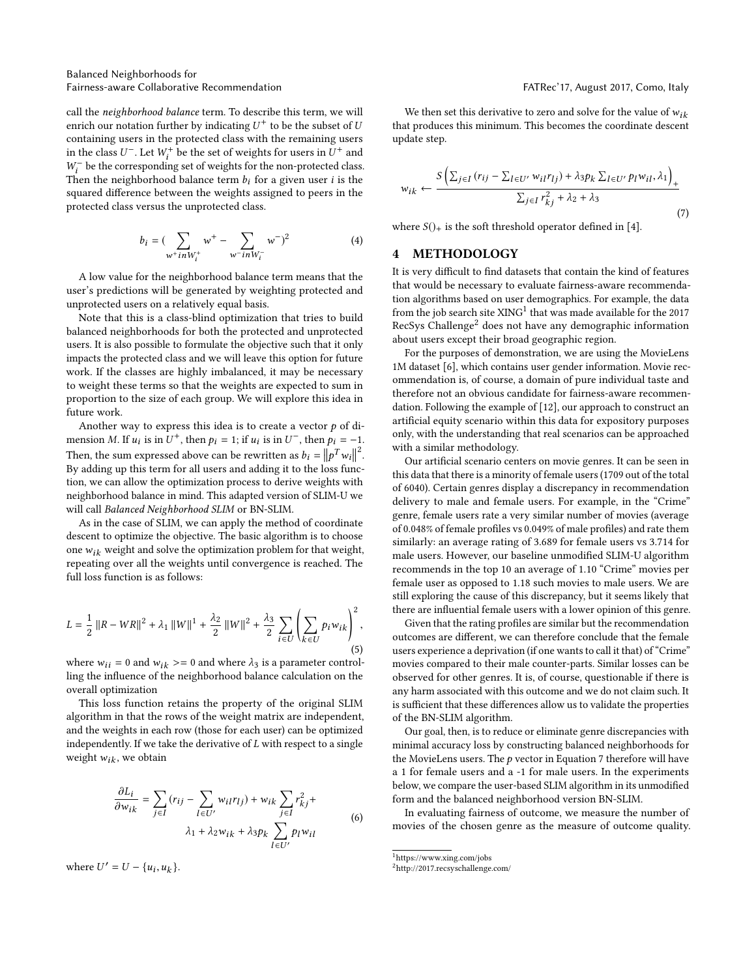call the neighborhood balance term. To describe this term, we will enrich our notation further by indicating  $U^+$  to be the subset of  $U$ <br>containing users in the protected class with the remaining users containing users in the protected class with the remaining users in the class  $U^-$ . Let  $W_t^+$  be the set of weights for users in  $U^+$  and  $W^-$  be the corresponding set of weights for the non-protected class  $W_t^-$  be the corresponding set of weights for the non-protected class.<br>Then the neighborhood balance term h: for a given user i is the Then the neighborhood balance term  $b_i$  for a given user *i* is the squared difference between the weights assigned to peers in the squared difference between the weights assigned to peers in the protected class versus the unprotected class.

$$
b_i = (\sum_{w^+ in W_i^+} w^+ - \sum_{w^- in W_i^-} w^-)^2
$$
 (4)

A low value for the neighborhood balance term means that the user's predictions will be generated by weighting protected and unprotected users on a relatively equal basis.

Note that this is a class-blind optimization that tries to build balanced neighborhoods for both the protected and unprotected users. It is also possible to formulate the objective such that it only impacts the protected class and we will leave this option for future work. If the classes are highly imbalanced, it may be necessary to weight these terms so that the weights are expected to sum in proportion to the size of each group. We will explore this idea in future work.

Another way to express this idea is to create a vector  $p$  of dimension M. If  $u_i$  is in  $U^+$ , then  $p_i = 1$ ; if  $u_i$  is in  $U^-$ , then  $p_i = -1$ .<br>  $\frac{1}{2}$ Then, the sum expressed above can be rewritten as  $b_i = ||p^T w_i||^2$ .<br>By adding up this term for all users and adding it to the loss func-Then, the sum expressed above can be rewritten as  $v_i = ||p^- w_i||$  .<br>By adding up this term for all users and adding it to the loss function, we can allow the optimization process to derive weights with neighborhood balance in mind. This adapted version of SLIM-U we will call Balanced Neighborhood SLIM or BN-SLIM.

As in the case of SLIM, we can apply the method of coordinate descent to optimize the objective. The basic algorithm is to choose one  $w_{ik}$  weight and solve the optimization problem for that weight, repeating over all the weights until convergence is reached. The full loss function is as follows:

$$
L = \frac{1}{2} ||R - WR||^{2} + \lambda_{1} ||W||^{1} + \frac{\lambda_{2}}{2} ||W||^{2} + \frac{\lambda_{3}}{2} \sum_{i \in U} \left( \sum_{k \in U} p_{i} w_{ik} \right)^{2},
$$
\n(5)

where  $w_{ii} = 0$  and  $w_{ik} \geq 0$  and where  $\lambda_3$  is a parameter controlling the influence of the neighborhood balance calculation on the overall optimization

This loss function retains the property of the original SLIM algorithm in that the rows of the weight matrix are independent, and the weights in each row (those for each user) can be optimized independently. If we take the derivative of  $L$  with respect to a single weight  $w_{ik}$ , we obtain

$$
\frac{\partial L_i}{\partial w_{ik}} = \sum_{j \in I} (r_{ij} - \sum_{l \in U'} w_{il} r_{lj}) + w_{ik} \sum_{j \in I} r_{kj}^2 +
$$
  

$$
\lambda_1 + \lambda_2 w_{ik} + \lambda_3 p_k \sum_{l \in U'} p_l w_{il}
$$
 (6)

where  $U' = U - \{u_i, u_k\}.$ 

We then set this derivative to zero and solve for the value of  $w_{ik}$ that produces this minimum. This becomes the coordinate descent update step.

<span id="page-2-2"></span>
$$
w_{ik} \leftarrow \frac{S\left(\sum_{j\in I} (r_{ij} - \sum_{l\in U'} w_{il} r_{lj}) + \lambda_3 p_k \sum_{l\in U'} p_l w_{il}, \lambda_1\right)}{\sum_{j\in I} r_{kj}^2 + \lambda_2 + \lambda_3}
$$
\n(7)

where  $S()$  is the soft threshold operator defined in [\[4\]](#page-4-12).

#### 4 METHODOLOGY

It is very difficult to find datasets that contain the kind of features that would be necessary to evaluate fairness-aware recommendation algorithms based on user demographics. For example, the data from the job search site  ${\rm XING^1}$  ${\rm XING^1}$  ${\rm XING^1}$  that was made available for the 2017 RecSys Challenge[2](#page-2-1) does not have any demographic information about users except their broad geographic region.

For the purposes of demonstration, we are using the MovieLens 1M dataset [\[6\]](#page-4-13), which contains user gender information. Movie recommendation is, of course, a domain of pure individual taste and therefore not an obvious candidate for fairness-aware recommendation. Following the example of [\[12\]](#page-4-9), our approach to construct an artificial equity scenario within this data for expository purposes only, with the understanding that real scenarios can be approached with a similar methodology.

Our artificial scenario centers on movie genres. It can be seen in this data that there is a minority of female users (1709 out of the total of 6040). Certain genres display a discrepancy in recommendation delivery to male and female users. For example, in the "Crime" genre, female users rate a very similar number of movies (average of 0.048% of female profiles vs 0.049% of male profiles) and rate them similarly: an average rating of 3.689 for female users vs 3.714 for male users. However, our baseline unmodified SLIM-U algorithm recommends in the top 10 an average of 1.10 "Crime" movies per female user as opposed to 1.18 such movies to male users. We are still exploring the cause of this discrepancy, but it seems likely that there are influential female users with a lower opinion of this genre.

Given that the rating profiles are similar but the recommendation outcomes are different, we can therefore conclude that the female users experience a deprivation (if one wants to call it that) of "Crime" movies compared to their male counter-parts. Similar losses can be observed for other genres. It is, of course, questionable if there is any harm associated with this outcome and we do not claim such. It is sufficient that these differences allow us to validate the properties of the BN-SLIM algorithm.

Our goal, then, is to reduce or eliminate genre discrepancies with minimal accuracy loss by constructing balanced neighborhoods for the MovieLens users. The  $p$  vector in Equation [7](#page-2-2) therefore will have a 1 for female users and a -1 for male users. In the experiments below, we compare the user-based SLIM algorithm in its unmodified form and the balanced neighborhood version BN-SLIM.

In evaluating fairness of outcome, we measure the number of movies of the chosen genre as the measure of outcome quality.

<span id="page-2-0"></span> $^{\rm 1}$  https://www.xing.com/jobs

<span id="page-2-1"></span><sup>2</sup>http://2017.recsyschallenge.com/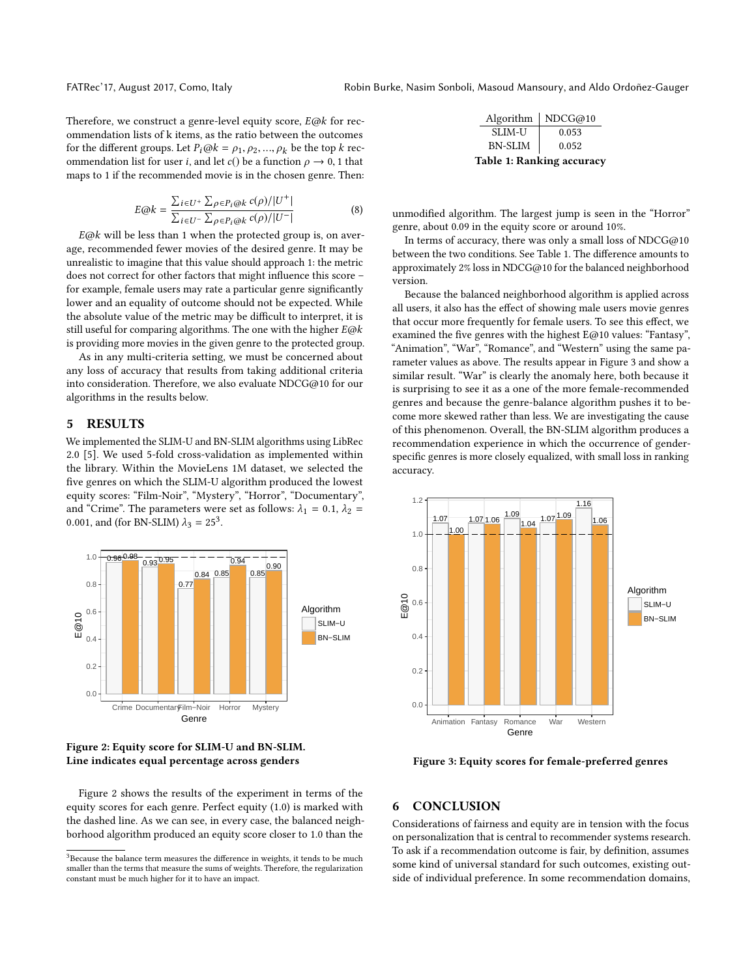Therefore, we construct a genre-level equity score,  $E@k$  for recommendation lists of k items, as the ratio between the outcomes for the different groups. Let  $P_i@k = \rho_1, \rho_2, ..., \rho_k$  be the top k recommendation list for user *i*, and let *c*() be a function  $\rho \rightarrow 0$ , 1 that maps to 1 if the recommended movie is in the chosen genre. Then:

$$
E@k = \frac{\sum_{i \in U^{+}} \sum_{\rho \in P_{i}@k} c(\rho)/|U^{+}|}{\sum_{i \in U^{-}} \sum_{\rho \in P_{i}@k} c(\rho)/|U^{-}|}
$$
(8)

 $E@k$  will be less than 1 when the protected group is, on aver-<br>expression fluxer movies of the desired genre. It may be age, recommended fewer movies of the desired genre. It may be unrealistic to imagine that this value should approach 1: the metric does not correct for other factors that might influence this score – for example, female users may rate a particular genre significantly lower and an equality of outcome should not be expected. While the absolute value of the metric may be difficult to interpret, it is still useful for comparing algorithms. The one with the higher  $E@k$ is providing more movies in the given genre to the protected group.

As in any multi-criteria setting, we must be concerned about any loss of accuracy that results from taking additional criteria into consideration. Therefore, we also evaluate NDCG@10 for our algorithms in the results below.

#### 5 RESULTS

We implemented the SLIM-U and BN-SLIM algorithms using LibRec 2.0 [\[5\]](#page-4-14). We used 5-fold cross-validation as implemented within the library. Within the MovieLens 1M dataset, we selected the five genres on which the SLIM-U algorithm produced the lowest equity scores: "Film-Noir", "Mystery", "Horror", "Documentary", and "Crime". The parameters were set as follows:  $\lambda_1 = 0.1$ ,  $\lambda_2 =$ 0.001, and (for BN-SLIM)  $\lambda_3 = 25^3$  $\lambda_3 = 25^3$  $\lambda_3 = 25^3$ .

<span id="page-3-1"></span>

#### Figure 2: Equity score for SLIM-U and BN-SLIM. Line indicates equal percentage across genders

Figure [2](#page-3-1) shows the results of the experiment in terms of the equity scores for each genre. Perfect equity (1.0) is marked with the dashed line. As we can see, in every case, the balanced neighborhood algorithm produced an equity score closer to 1.0 than the

<span id="page-3-2"></span>

| Algorithm                        | NDCG@10 |
|----------------------------------|---------|
| SLIM-U                           | 0.053   |
| <b>BN-SLIM</b>                   | 0.052   |
| <b>Table 1: Ranking accuracy</b> |         |

unmodified algorithm. The largest jump is seen in the "Horror" genre, about 0.09 in the equity score or around 10%.

In terms of accuracy, there was only a small loss of  $NDCG@10$ between the two conditions. See Table [1.](#page-3-2) The difference amounts to approximately 2% loss in NDCG@10 for the balanced neighborhood version.

Because the balanced neighborhood algorithm is applied across all users, it also has the effect of showing male users movie genres that occur more frequently for female users. To see this effect, we examined the five genres with the highest E@10 values: "Fantasy", "Animation", "War", "Romance", and "Western" using the same parameter values as above. The results appear in Figure [3](#page-3-3) and show a similar result. "War" is clearly the anomaly here, both because it is surprising to see it as a one of the more female-recommended genres and because the genre-balance algorithm pushes it to become more skewed rather than less. We are investigating the cause of this phenomenon. Overall, the BN-SLIM algorithm produces a recommendation experience in which the occurrence of genderspecific genres is more closely equalized, with small loss in ranking accuracy.

<span id="page-3-3"></span>

Figure 3: Equity scores for female-preferred genres

#### 6 CONCLUSION

Considerations of fairness and equity are in tension with the focus on personalization that is central to recommender systems research. To ask if a recommendation outcome is fair, by definition, assumes some kind of universal standard for such outcomes, existing outside of individual preference. In some recommendation domains,

<span id="page-3-0"></span> $^3\rm Because$  the balance term measures the difference in weights, it tends to be much smaller than the terms that measure the sums of weights. Therefore, the regularization constant must be much higher for it to have an impact.